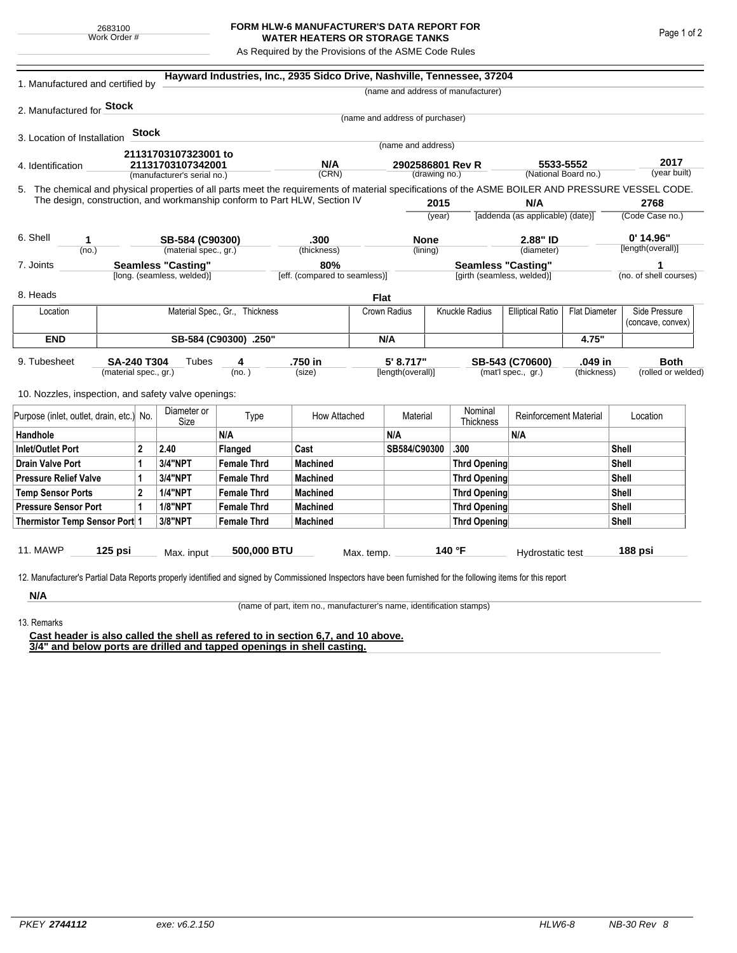## **FORM HLW-6 MANUFACTURER'S DATA REPORT FOR WATER HEATERS OR STORAGE TANKS**

As Required by the Provisions of the ASME Code Rules

| 1. Manufactured and certified by                                                                                                                                                                                                                                                   |           |       |                             | Hayward Industries, Inc., 2935 Sidco Drive, Nashville, Tennessee, 37204 |                 |                                      |                                   |                            |                                    |                                                 |                    |                             |                                    |  |
|------------------------------------------------------------------------------------------------------------------------------------------------------------------------------------------------------------------------------------------------------------------------------------|-----------|-------|-----------------------------|-------------------------------------------------------------------------|-----------------|--------------------------------------|-----------------------------------|----------------------------|------------------------------------|-------------------------------------------------|--------------------|-----------------------------|------------------------------------|--|
|                                                                                                                                                                                                                                                                                    |           |       |                             |                                                                         |                 |                                      |                                   |                            | (name and address of manufacturer) |                                                 |                    |                             |                                    |  |
| 2. Manufactured for Stock                                                                                                                                                                                                                                                          |           |       |                             |                                                                         |                 |                                      |                                   |                            |                                    |                                                 |                    |                             |                                    |  |
|                                                                                                                                                                                                                                                                                    |           |       |                             |                                                                         |                 |                                      | (name and address of purchaser)   |                            |                                    |                                                 |                    |                             |                                    |  |
| 3. Location of Installation                                                                                                                                                                                                                                                        |           | Stock |                             |                                                                         |                 |                                      |                                   |                            |                                    |                                                 |                    |                             |                                    |  |
|                                                                                                                                                                                                                                                                                    |           |       | 21131703107323001 to        |                                                                         |                 |                                      | (name and address)                |                            |                                    |                                                 |                    |                             |                                    |  |
| 4. Identification                                                                                                                                                                                                                                                                  |           |       | 21131703107342001           |                                                                         | N/A             |                                      | 2902586801 Rev R<br>(drawing no.) |                            |                                    | 5533-5552<br>(National Board no.)               |                    |                             | 2017<br>(year built)               |  |
|                                                                                                                                                                                                                                                                                    |           |       | (manufacturer's serial no.) |                                                                         | (CRN)           |                                      |                                   |                            |                                    |                                                 |                    |                             |                                    |  |
| 5. The chemical and physical properties of all parts meet the requirements of material specifications of the ASME BOILER AND PRESSURE VESSEL CODE.<br>The design, construction, and workmanship conform to Part HLW, Section IV<br>2015<br>N/A<br>2768                             |           |       |                             |                                                                         |                 |                                      |                                   |                            |                                    |                                                 |                    |                             |                                    |  |
|                                                                                                                                                                                                                                                                                    |           |       |                             |                                                                         |                 |                                      | (year)                            |                            |                                    | [addenda (as applicable) (date)]                |                    |                             | (Code Case no.)                    |  |
|                                                                                                                                                                                                                                                                                    |           |       |                             |                                                                         |                 |                                      |                                   |                            |                                    |                                                 |                    |                             |                                    |  |
| 6. Shell<br>1                                                                                                                                                                                                                                                                      |           |       | SB-584 (C90300)             |                                                                         | .300            |                                      | <b>None</b>                       |                            | 2.88" ID                           |                                                 |                    |                             | $0'$ 14.96"                        |  |
| (no.)                                                                                                                                                                                                                                                                              |           |       | (material spec., gr.)       |                                                                         | (thickness)     |                                      | (lining)                          |                            | (diameter)                         |                                                 | [length(overall)]  |                             |                                    |  |
| <b>Seamless "Casting"</b><br>7. Joints                                                                                                                                                                                                                                             |           |       |                             |                                                                         |                 | 80%<br>[eff. (compared to seamless)] |                                   |                            |                                    | <b>Seamless "Casting"</b>                       |                    | 1<br>(no. of shell courses) |                                    |  |
| [long. (seamless, welded)]                                                                                                                                                                                                                                                         |           |       |                             |                                                                         |                 |                                      |                                   | [girth (seamless, welded)] |                                    |                                                 |                    |                             |                                    |  |
| 8. Heads                                                                                                                                                                                                                                                                           |           |       |                             |                                                                         |                 | <b>Flat</b>                          |                                   |                            |                                    |                                                 |                    |                             |                                    |  |
| Location                                                                                                                                                                                                                                                                           |           |       |                             | Material Spec., Gr., Thickness                                          |                 |                                      | Crown Radius                      |                            | Knuckle Radius                     | <b>Elliptical Ratio</b><br><b>Flat Diameter</b> |                    |                             | Side Pressure<br>(concave, convex) |  |
| <b>END</b>                                                                                                                                                                                                                                                                         |           |       | SB-584 (C90300) .250"       |                                                                         |                 |                                      | N/A                               |                            |                                    |                                                 | 4.75"              |                             |                                    |  |
| .750 in<br>5' 8.717"<br>.049 in<br><b>Both</b><br>9. Tubesheet<br><b>SA-240 T304</b><br>Tubes<br>SB-543 (C70600)<br>4<br>(mat'l spec., gr.)<br>(material spec., gr.)<br>(no.)<br>(size)<br>[length(overall)]<br>(thickness)<br>10. Nozzles, inspection, and safety valve openings: |           |       |                             |                                                                         |                 |                                      |                                   |                            |                                    |                                                 | (rolled or welded) |                             |                                    |  |
| Purpose (inlet, outlet, drain, etc.) No.                                                                                                                                                                                                                                           |           |       | Diameter or<br>Size         | Type                                                                    | How Attached    |                                      | Material                          |                            | Nominal<br>Thickness               | <b>Reinforcement Material</b>                   |                    | Location                    |                                    |  |
| Handhole                                                                                                                                                                                                                                                                           |           |       |                             | N/A                                                                     |                 |                                      | N/A                               |                            |                                    | N/A                                             |                    |                             |                                    |  |
| $\mathbf{2}$<br>Inlet/Outlet Port                                                                                                                                                                                                                                                  |           |       | 2.40                        | Flanged                                                                 | Cast            |                                      | SB584/C90300                      |                            | .300                               |                                                 |                    | Shell                       |                                    |  |
| Drain Valve Port<br>1                                                                                                                                                                                                                                                              |           |       | <b>3/4"NPT</b>              | <b>Female Thrd</b>                                                      | <b>Machined</b> |                                      |                                   |                            | Thrd Opening                       |                                                 |                    |                             | Shell                              |  |
| <b>Pressure Relief Valve</b><br>1                                                                                                                                                                                                                                                  |           |       | 3/4"NPT                     | <b>Female Thrd</b>                                                      | <b>Machined</b> |                                      |                                   |                            | Thrd Opening                       |                                                 |                    |                             | Shell                              |  |
| $\overline{2}$<br><b>Temp Sensor Ports</b>                                                                                                                                                                                                                                         |           |       | <b>1/4"NPT</b>              | <b>Female Thrd</b>                                                      | <b>Machined</b> |                                      |                                   |                            | Thrd Opening                       |                                                 |                    | Shell                       |                                    |  |
| <b>Pressure Sensor Port</b><br>1                                                                                                                                                                                                                                                   |           |       | <b>1/8"NPT</b>              | <b>Female Thrd</b>                                                      | <b>Machined</b> |                                      |                                   |                            | Thrd Opening                       |                                                 |                    |                             | Shell                              |  |
| Thermistor Temp Sensor Port 1                                                                                                                                                                                                                                                      |           |       | 3/8"NPT                     | <b>Female Thrd</b>                                                      | <b>Machined</b> |                                      |                                   |                            | Thrd Opening                       |                                                 | Shell              |                             |                                    |  |
| 11. MAWP<br>12. Manufacturer's Partial Data Reports properly identified and signed by Commissioned Inspectors have been furnished for the following items for this report                                                                                                          | $125$ psi |       | Max. input                  | 500,000 BTU                                                             |                 | Max. temp.                           |                                   |                            | 140 °F                             | Hydrostatic test                                |                    |                             | 188 psi                            |  |
| N/A                                                                                                                                                                                                                                                                                |           |       |                             |                                                                         |                 |                                      |                                   |                            |                                    |                                                 |                    |                             |                                    |  |

(name of part, item no., manufacturer's name, identification stamps)

13. Remarks

**Cast header is also called the shell as refered to in section 6,7, and 10 above. 3/4" and below ports are drilled and tapped openings in shell casting.**